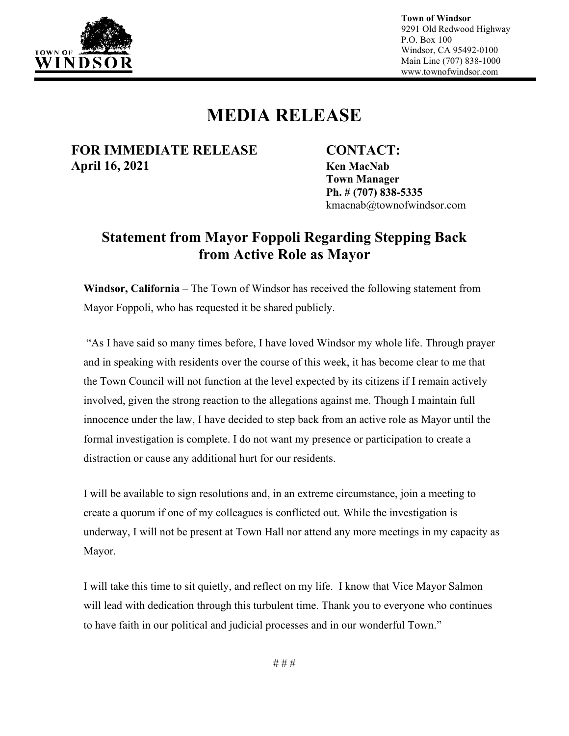

**Town of Windsor** 9291 Old Redwood Highway P.O. Box 100 Windsor, CA 95492-0100 Main Line (707) 838-1000 www.townofwindsor.com

## **MEDIA RELEASE**

#### **FOR IMMEDIATE RELEASE CONTACT: April 16, 2021 Ken MacNab**

**Town Manager Ph. # (707) 838-5335** kmacnab@townofwindsor.com

## **Statement from Mayor Foppoli Regarding Stepping Back from Active Role as Mayor**

**Windsor, California** – The Town of Windsor has received the following statement from Mayor Foppoli, who has requested it be shared publicly.

"As I have said so many times before, I have loved Windsor my whole life. Through prayer and in speaking with residents over the course of this week, it has become clear to me that the Town Council will not function at the level expected by its citizens if I remain actively involved, given the strong reaction to the allegations against me. Though I maintain full innocence under the law, I have decided to step back from an active role as Mayor until the formal investigation is complete. I do not want my presence or participation to create a distraction or cause any additional hurt for our residents.

I will be available to sign resolutions and, in an extreme circumstance, join a meeting to create a quorum if one of my colleagues is conflicted out. While the investigation is underway, I will not be present at Town Hall nor attend any more meetings in my capacity as Mayor.

I will take this time to sit quietly, and reflect on my life. I know that Vice Mayor Salmon will lead with dedication through this turbulent time. Thank you to everyone who continues to have faith in our political and judicial processes and in our wonderful Town."